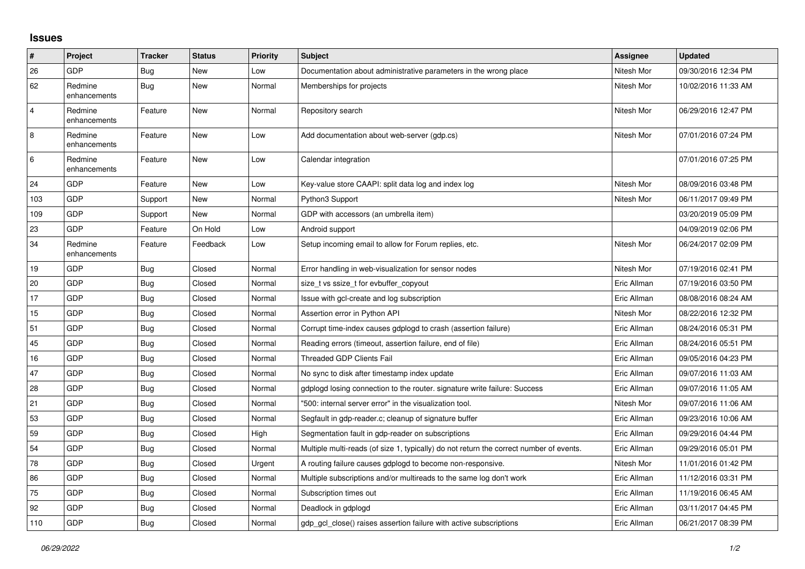## **Issues**

| #              | Project                 | <b>Tracker</b> | <b>Status</b> | <b>Priority</b> | <b>Subject</b>                                                                          | Assignee    | <b>Updated</b>      |
|----------------|-------------------------|----------------|---------------|-----------------|-----------------------------------------------------------------------------------------|-------------|---------------------|
| 26             | <b>GDP</b>              | <b>Bug</b>     | New           | Low             | Documentation about administrative parameters in the wrong place                        | Nitesh Mor  | 09/30/2016 12:34 PM |
| 62             | Redmine<br>enhancements | Bug            | <b>New</b>    | Normal          | Memberships for projects                                                                | Nitesh Mor  | 10/02/2016 11:33 AM |
| $\overline{4}$ | Redmine<br>enhancements | Feature        | <b>New</b>    | Normal          | Repository search                                                                       | Nitesh Mor  | 06/29/2016 12:47 PM |
| 8              | Redmine<br>enhancements | Feature        | New           | Low             | Add documentation about web-server (gdp.cs)                                             | Nitesh Mor  | 07/01/2016 07:24 PM |
| 6              | Redmine<br>enhancements | Feature        | <b>New</b>    | Low             | Calendar integration                                                                    |             | 07/01/2016 07:25 PM |
| 24             | <b>GDP</b>              | Feature        | New           | Low             | Key-value store CAAPI: split data log and index log                                     | Nitesh Mor  | 08/09/2016 03:48 PM |
| 103            | <b>GDP</b>              | Support        | <b>New</b>    | Normal          | Python3 Support                                                                         | Nitesh Mor  | 06/11/2017 09:49 PM |
| 109            | GDP                     | Support        | <b>New</b>    | Normal          | GDP with accessors (an umbrella item)                                                   |             | 03/20/2019 05:09 PM |
| 23             | <b>GDP</b>              | Feature        | On Hold       | Low             | Android support                                                                         |             | 04/09/2019 02:06 PM |
| 34             | Redmine<br>enhancements | Feature        | Feedback      | Low             | Setup incoming email to allow for Forum replies, etc.                                   | Nitesh Mor  | 06/24/2017 02:09 PM |
| 19             | <b>GDP</b>              | <b>Bug</b>     | Closed        | Normal          | Error handling in web-visualization for sensor nodes                                    | Nitesh Mor  | 07/19/2016 02:41 PM |
| 20             | GDP                     | <b>Bug</b>     | Closed        | Normal          | size_t vs ssize_t for evbuffer_copyout                                                  | Eric Allman | 07/19/2016 03:50 PM |
| 17             | GDP                     | <b>Bug</b>     | Closed        | Normal          | Issue with gcl-create and log subscription                                              | Eric Allman | 08/08/2016 08:24 AM |
| 15             | <b>GDP</b>              | Bug            | Closed        | Normal          | Assertion error in Python API                                                           | Nitesh Mor  | 08/22/2016 12:32 PM |
| 51             | <b>GDP</b>              | <b>Bug</b>     | Closed        | Normal          | Corrupt time-index causes gdplogd to crash (assertion failure)                          | Eric Allman | 08/24/2016 05:31 PM |
| 45             | GDP                     | <b>Bug</b>     | Closed        | Normal          | Reading errors (timeout, assertion failure, end of file)                                | Eric Allman | 08/24/2016 05:51 PM |
| 16             | <b>GDP</b>              | Bug            | Closed        | Normal          | <b>Threaded GDP Clients Fail</b>                                                        | Eric Allman | 09/05/2016 04:23 PM |
| 47             | GDP                     | <b>Bug</b>     | Closed        | Normal          | No sync to disk after timestamp index update                                            | Eric Allman | 09/07/2016 11:03 AM |
| 28             | GDP                     | <b>Bug</b>     | Closed        | Normal          | gdplogd losing connection to the router, signature write failure: Success               | Eric Allman | 09/07/2016 11:05 AM |
| 21             | <b>GDP</b>              | Bug            | Closed        | Normal          | "500: internal server error" in the visualization tool.                                 | Nitesh Mor  | 09/07/2016 11:06 AM |
| 53             | <b>GDP</b>              | <b>Bug</b>     | Closed        | Normal          | Segfault in gdp-reader.c; cleanup of signature buffer                                   | Eric Allman | 09/23/2016 10:06 AM |
| 59             | GDP                     | <b>Bug</b>     | Closed        | High            | Segmentation fault in gdp-reader on subscriptions                                       | Eric Allman | 09/29/2016 04:44 PM |
| 54             | GDP                     | Bug            | Closed        | Normal          | Multiple multi-reads (of size 1, typically) do not return the correct number of events. | Eric Allman | 09/29/2016 05:01 PM |
| 78             | GDP                     | <b>Bug</b>     | Closed        | Urgent          | A routing failure causes gdplogd to become non-responsive.                              | Nitesh Mor  | 11/01/2016 01:42 PM |
| 86             | GDP                     | <b>Bug</b>     | Closed        | Normal          | Multiple subscriptions and/or multireads to the same log don't work                     | Eric Allman | 11/12/2016 03:31 PM |
| 75             | <b>GDP</b>              | Bug            | Closed        | Normal          | Subscription times out                                                                  | Eric Allman | 11/19/2016 06:45 AM |
| 92             | <b>GDP</b>              | Bug            | Closed        | Normal          | Deadlock in gdplogd                                                                     | Eric Allman | 03/11/2017 04:45 PM |
| 110            | <b>GDP</b>              | <b>Bug</b>     | Closed        | Normal          | gdp gcl close() raises assertion failure with active subscriptions                      | Eric Allman | 06/21/2017 08:39 PM |